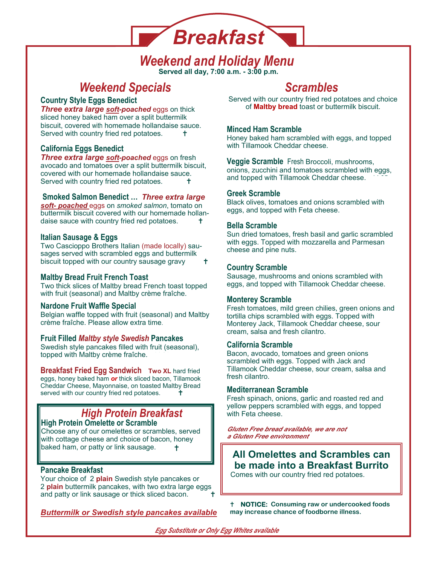# *Breakfast*

### **Served all day, 7:00 a.m. - 3:00 p.m.**  *Weekend and Holiday Menu*

## **Weekend Specials and Scrambles Scrambles**

#### **Country Style Eggs Benedict**

*Three extra large soft-poached* eggs on thick sliced honey baked ham over a split buttermilk biscuit, covered with homemade hollandaise sauce. Served with country fried red potatoes. <sup>†</sup>

### **California Eggs Benedict**

*Three extra large soft-poached* eggs on fresh avocado and tomatoes over a split buttermilk biscuit, covered with our homemade hollandaise sauce. Served with country fried red potatoes.

#### **Smoked Salmon Benedict …** *Three extra large*

*soft- poached* eggs on *smoked salmon*, tomato on buttermilk biscuit covered with our homemade hollandaise sauce with country fried red potatoes.

### **Italian Sausage & Eggs**

Two Cascioppo Brothers Italian (made locally) sausages served with scrambled eggs and buttermilk biscuit topped with our country sausage gravy  $\pm$ 

### **Maltby Bread Fruit French Toast**

Two thick slices of Maltby bread French toast topped with fruit (seasonal) and Maltby crème fraîche.

#### **Nardone Fruit Waffle Special**

Belgian waffle topped with fruit (seasonal) and Maltby crème fraîche. Please allow extra time.

#### **Fruit Filled** *Maltby style Swedish* **Pancakes**

Swedish style pancakes filled with fruit (seasonal), topped with Maltby crème fraîche.

**Breakfast Fried Egg Sandwich Two XL** hard fried eggs, honey baked ham *or* thick sliced bacon, Tillamook Cheddar Cheese, Mayonnaise, on toasted Maltby Bread served with our country fried red potatoes.

## *High Protein Breakfast* **High Protein Omelette or Scramble**

Choose any of our omelettes or scrambles, served with cottage cheese and choice of bacon, honey baked ham, or patty or link sausage. Ŧ

#### **Pancake Breakfast**

Your choice of 2 **plain** Swedish style pancakes or 2 **plain** buttermilk pancakes, with two extra large eggs and patty or link sausage or thick sliced bacon.

*Buttermilk or Swedish style pancakes available* 

Served with our country fried red potatoes and choice of **Maltby bread** toast or buttermilk biscuit.

### **Minced Ham Scramble**

Honey baked ham scrambled with eggs, and topped with Tillamook Cheddar cheese.

**Veggie Scramble** Fresh Broccoli, mushrooms, onions, zucchini and tomatoes scrambled with eggs, and topped with Tillamook Cheddar cheese.

#### **Greek Scramble**

Black olives, tomatoes and onions scrambled with eggs, and topped with Feta cheese.

#### **Bella Scramble**

Sun dried tomatoes, fresh basil and garlic scrambled with eggs. Topped with mozzarella and Parmesan cheese and pine nuts.

### **Country Scramble**

Sausage, mushrooms and onions scrambled with eggs, and topped with Tillamook Cheddar cheese.

### **Monterey Scramble**

Fresh tomatoes, mild green chilies, green onions and tortilla chips scrambled with eggs. Topped with Monterey Jack, Tillamook Cheddar cheese, sour cream, salsa and fresh cilantro.

#### **California Scramble**

Bacon, avocado, tomatoes and green onions scrambled with eggs. Topped with Jack and Tillamook Cheddar cheese, sour cream, salsa and fresh cilantro.

#### **Mediterranean Scramble**

Fresh spinach, onions, garlic and roasted red and yellow peppers scrambled with eggs, and topped with Feta cheese.

*Gluten Free bread available, we are not a Gluten Free environment*

#### **All Omelettes and Scrambles can be made into a Breakfast Burrito**  Comes with our country fried red potatoes.

**F NOTICE:** Consuming raw or undercooked foods **may increase chance of foodborne illness.**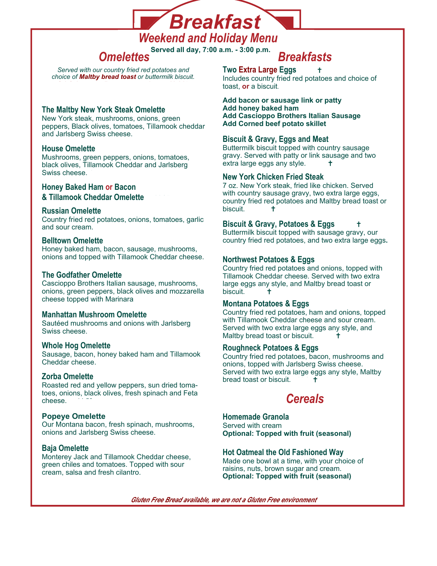

*Weekend and Holiday Menu* 

**Served all day, 7:00 a.m. - 3:00 p.m.** *Omelettes Breakfasts* 

*Served with our country fried red potatoes and choice of Maltby bread toast or buttermilk biscuit.* 

#### **The Maltby New York Steak Omelette**

New York steak, mushrooms, onions, green peppers, Black olives, tomatoes, Tillamook cheddar and Jarlsberg Swiss cheese.

#### **House Omelette**

Mushrooms, green peppers, onions, tomatoes, black olives, Tillamook Cheddar and Jarlsberg Swiss cheese.

#### **Honey Baked Ham or Bacon**

**& Tillamook Cheddar Omelette** 

#### **Russian Omelette**

Country fried red potatoes, onions, tomatoes, garlic and sour cream.

#### **Belltown Omelette**

Honey baked ham, bacon, sausage, mushrooms, onions and topped with Tillamook Cheddar cheese.

#### **The Godfather Omelette**

Cascioppo Brothers Italian sausage, mushrooms, onions, green peppers, black olives and mozzarella cheese topped with Marinara

#### **Manhattan Mushroom Omelette**

Sautéed mushrooms and onions with Jarlsberg Swiss cheese.

#### **Whole Hog Omelette**

Sausage, bacon, honey baked ham and Tillamook Cheddar cheese.

#### **Zorba Omelette**

Roasted red and yellow peppers, sun dried tomatoes, onions, black olives, fresh spinach and Feta cheese.

#### **Popeye Omelette**

Our Montana bacon, fresh spinach, mushrooms, onions and Jarlsberg Swiss cheese.

#### **Baja Omelette**

Monterey Jack and Tillamook Cheddar cheese, green chiles and tomatoes. Topped with sour cream, salsa and fresh cilantro.

**Two Extra Large Eggs** Includes country fried red potatoes and choice of toast, **or** a biscuit.

Add bacon or sausage link or patty **Add honey baked ham Add Cascioppo Brothers Italian Sausage Add Corned beef potato skillet** 

#### **Biscuit & Gravy, Eggs and Meat**

Buttermilk biscuit topped with country sausage gravy. Served with patty or link sausage and two extra large eggs any style.  $\uparrow$ 

#### **New York Chicken Fried Steak**

7 oz. New York steak, fried like chicken. Served with country sausage gravy, two extra large eggs, country fried red potatoes and Maltby bread toast or biscuit.

### **Biscuit & Gravy, Potatoes & Eggs**

Buttermilk biscuit topped with sausage gravy, our country fried red potatoes, and two extra large eggs**.** 

#### **Northwest Potatoes & Eggs**

Country fried red potatoes and onions, topped with Tillamook Cheddar cheese. Served with two extra large eggs any style, and Maltby bread toast or biscuit. **†** 

#### **Montana Potatoes & Eggs**

Country fried red potatoes, ham and onions, topped with Tillamook Cheddar cheese and sour cream. Served with two extra large eggs any style, and Maltby bread toast or biscuit.

#### **Roughneck Potatoes & Eggs**

Country fried red potatoes, bacon, mushrooms and onions, topped with Jarlsberg Swiss cheese. Served with two extra large eggs any style, Maltby bread toast or biscuit.

## *Cereals*

#### **Homemade Granola**  Served with cream **Optional: Topped with fruit (seasonal)**

### **Hot Oatmeal the Old Fashioned Way**

Made one bowl at a time, with your choice of raisins, nuts, brown sugar and cream. **Optional: Topped with fruit (seasonal)**

*Gluten Free Bread available, we are not a Gluten Free environment*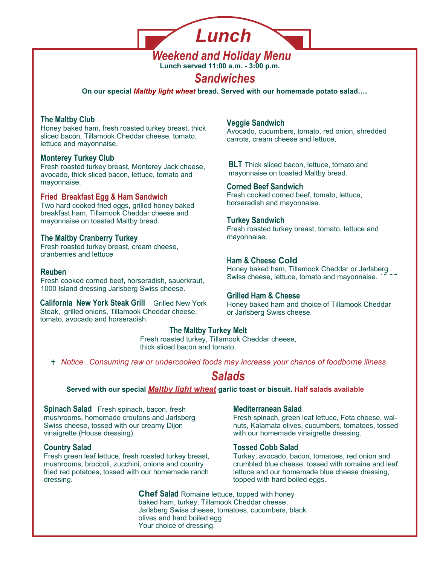

**Lunch served 11:00 a.m. - 3:00 p.m.** 

### *Sandwiches*

**On our special** *Maltby light wheat* **bread. Served with our homemade potato salad….** 

#### **The Maltby Club**

Honey baked ham, fresh roasted turkey breast, thick sliced bacon, Tillamook Cheddar cheese, tomato, lettuce and mayonnaise.

#### **Monterey Turkey Club**

Fresh roasted turkey breast, Monterey Jack cheese, avocado, thick sliced bacon, lettuce, tomato and mayonnaise.

#### **Fried Breakfast Egg & Ham Sandwich**

Two hard cooked fried eggs, grilled honey baked breakfast ham, Tillamook Cheddar cheese and mayonnaise on toasted Maltby bread.

#### **The Maltby Cranberry Turkey**

Fresh roasted turkey breast, cream cheese, cranberries and lettuce

Fresh cooked corned beef, horseradish, sauerkraut, 1000 Island dressing Jarlsberg Swiss cheese.

**California New York Steak Grill** Grilled New York Steak, grilled onions, Tillamook Cheddar cheese, tomato, avocado and horseradish.

### **Veggie Sandwich**

Avocado, cucumbers, tomato, red onion, shredded carrots, cream cheese and lettuce,

**BLT** Thick sliced bacon, lettuce, tomato and mayonnaise on toasted Maltby bread.

#### **Corned Beef Sandwich**

Fresh cooked corned beef, tomato, lettuce, horseradish and mayonnaise.

#### **Turkey Sandwich**

Fresh roasted turkey breast, tomato, lettuce and mayonnaise.

#### **Ham & Cheese Cold**

Honey baked ham, Tillamook Cheddar or Jarlsberg Swiss cheese, lettuce, tomato and mayonnaise. 13.95 **Reuben** 15.95

#### **Grilled Ham & Cheese**

Honey baked ham and choice of Tillamook Cheddar or Jarlsberg Swiss cheese.

#### **The Maltby Turkey Melt**

Fresh roasted turkey, Tillamook Cheddar cheese, thick sliced bacon and tomato.

 *Notice ..Consuming raw or undercooked foods may increase your chance of foodborne illness* 

### *Salads*

Served with our special **Maltby light wheat** garlic toast or biscuit. Half salads available

**Spinach Salad** Fresh spinach, bacon, fresh mushrooms, homemade croutons and Jarlsberg Swiss cheese, tossed with our creamy Dijon vinaigrette (House dressing).

#### **Country Salad**

Fresh green leaf lettuce, fresh roasted turkey breast, mushrooms, broccoli, zucchini, onions and country fried red potatoes, tossed with our homemade ranch dressing.

#### **Mediterranean Salad**

Fresh spinach, green leaf lettuce, Feta cheese, walnuts, Kalamata olives, cucumbers, tomatoes, tossed with our homemade vinaigrette dressing.

#### **Tossed Cobb Salad**

Turkey, avocado, bacon, tomatoes, red onion and crumbled blue cheese, tossed with romaine and leaf lettuce and our homemade blue cheese dressing, topped with hard boiled eggs.

**Chef Salad** Romaine lettuce, topped with honey baked ham, turkey, Tillamook Cheddar cheese, Jarlsberg Swiss cheese, tomatoes, cucumbers, black olives and hard boiled egg Your choice of dressing.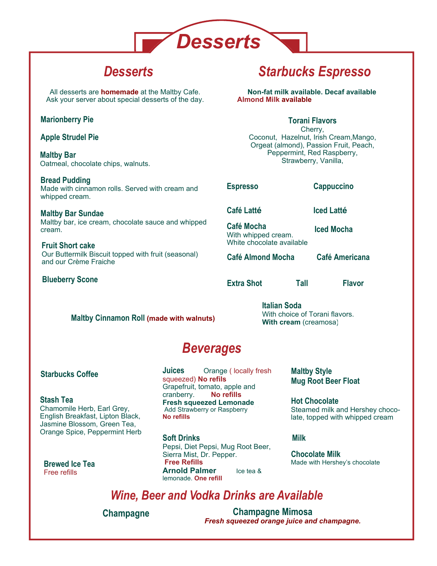

All desserts are **homemade** at the Maltby Cafe. Ask your server about special desserts of the day.

#### **Marionberry Pie**

**Apple Strudel Pie** 

**Maltby Bar**  Oatmeal, chocolate chips, walnuts. 4.45

**Bread Pudding**  Made with cinnamon rolls. Served with cream and whipped cream.

**Maltby Bar Sundae**  Maltby bar, ice cream, chocolate sauce and whipped cream

**Fruit Short cake**  Our Buttermilk Biscuit topped with fruit (seasonal) and our Crème Fraiche

**Blueberry Scone** 

## *Desserts Starbucks Espresso*

**Non-fat milk available. Decaf available Almond Milk available.** 

#### **Torani Flavors**

Cherry, Coconut, Hazelnut, Irish Cream,Mango, Orgeat (almond), Passion Fruit, Peach, Peppermint, Red Raspberry, Strawberry, Vanilla,

**Espresso** 3.50 **Cappuccino** 3.95

**Café Latté** 3.95 **Iced Latté** 3.95

**Café Mocha** 4.55 With whipped cream. White chocolate available **Iced Mocha** 

**Café Almond Mocha Café Americana** 

**Extra Shot** ... **Tall** ... **Flavor** ...

**Maltby Cinnamon Roll (made with walnuts)** 

**Italian Soda** With choice of Torani flavors. **With cream** (creamosa)

## *Beverages*

#### **Starbucks Coffee**

#### **Stash Tea**

Chamomile Herb, Earl Grey, English Breakfast, Lipton Black, Jasmine Blossom, Green Tea, Orange Spice, Peppermint Herb **Soft Drinks** 3.50

**Brewed Ice Tea.** Free refills

**Juices** Orange ( locally fresh squeezed) **No refils** Grapefruit, tomato, apple and cranberry. 3.25 **No refills Fresh squeezed Lemonade** Add Strawberry or Raspberry **No refills**

Pepsi, Diet Pepsi, Mug Root Beer, Sierra Mist, Dr. Pepper. **Free Refills Arnold Palmer** Ice tea & lemonade. **One refill** 

**Maltby Style Mug Root Beer Float** 

**Hot Chocolate** Steamed milk and Hershey chocolate, topped with whipped cream

**Milk** 3.00, 3.75

**Chocolate Milk** Made with Hershey's chocolate

### *Wine, Beer and Vodka Drinks are Available*

**Champagne** 8.50 **Champagne Mimosa** 8.50 *Fresh squeezed orange juice and champagne.*